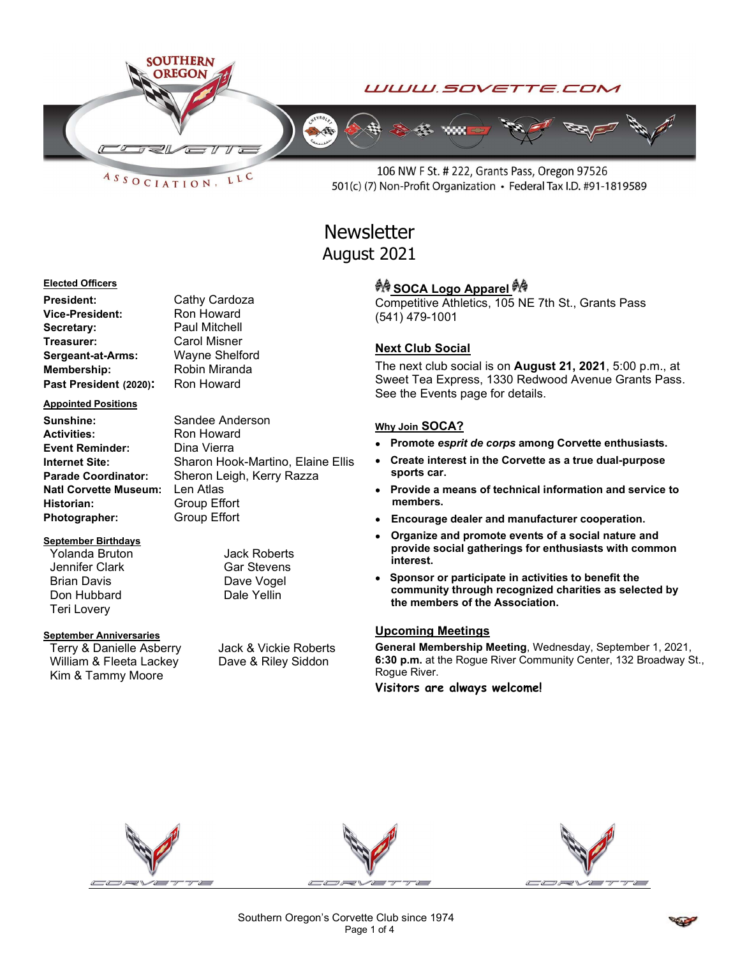



106 NW F St. # 222, Grants Pass, Oregon 97526 501(c) (7) Non-Profit Organization • Federal Tax I.D. #91-1819589

# **Newsletter** August 2021

#### Elected Officers

President: Cathy Cardoza Vice-President: Ron Howard Secretary: Paul Mitchell Treasurer: Carol Misner Sergeant-at-Arms: Wayne Shelford Membership: Robin Miranda Past President (2020): Ron Howard

#### Appointed Positions

Sunshine: Sandee Anderson Activities: Ron Howard Event Reminder: Dina Vierra Natl Corvette Museum: Len Atlas Historian: Group Effort Photographer: Group Effort

## September Birthdays

Yolanda Bruton Jack Roberts Jennifer Clark Gar Stevens Brian Davis **Davis** Dave Vogel Don Hubbard Dale Yellin Teri Lovery

### September Anniversaries

Terry & Danielle Asberry Jack & Vickie Roberts William & Fleeta Lackey Dave & Riley Siddon Kim & Tammy Moore

Internet Site: Sharon Hook-Martino, Elaine Ellis Parade Coordinator: Sheron Leigh, Kerry Razza

# ग्रै∲ SOCA Logo Apparel ग्रै∲

Competitive Athletics, 105 NE 7th St., Grants Pass (541) 479-1001

# Next Club Social

The next club social is on August 21, 2021, 5:00 p.m., at Sweet Tea Express, 1330 Redwood Avenue Grants Pass. See the Events page for details.

## Why Join SOCA?

- Promote esprit de corps among Corvette enthusiasts.
- Create interest in the Corvette as a true dual-purpose sports car.
- Provide a means of technical information and service to members.
- Encourage dealer and manufacturer cooperation.
- Organize and promote events of a social nature and provide social gatherings for enthusiasts with common interest.
- Sponsor or participate in activities to benefit the community through recognized charities as selected by the members of the Association.

# Upcoming Meetings

General Membership Meeting, Wednesday, September 1, 2021, 6:30 p.m. at the Rogue River Community Center, 132 Broadway St., Rogue River.

Visitors are always welcome!



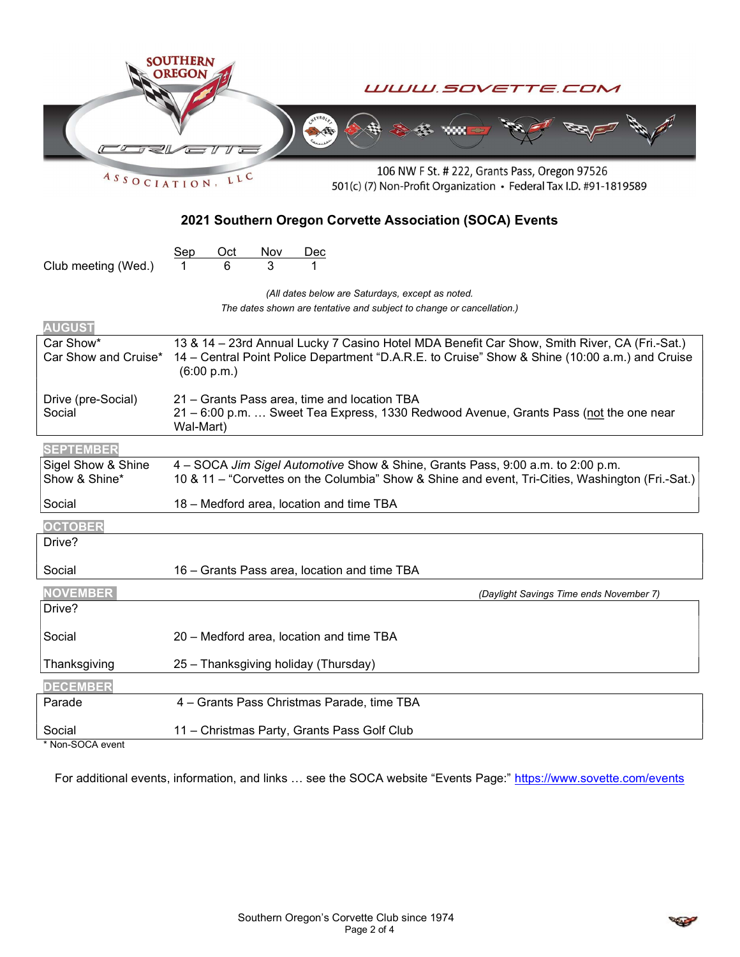| ASSOCIATION                                             | SOUTHERN<br>WWW.SOVETTE.COM<br>106 NW F St. # 222, Grants Pass, Oregon 97526<br>LLC<br>501(c) (7) Non-Profit Organization • Federal Tax I.D. #91-1819589                                                      |
|---------------------------------------------------------|---------------------------------------------------------------------------------------------------------------------------------------------------------------------------------------------------------------|
| 2021 Southern Oregon Corvette Association (SOCA) Events |                                                                                                                                                                                                               |
| Club meeting (Wed.)                                     | Oct<br><u>Nov</u><br><u>Sep</u><br>3<br>6                                                                                                                                                                     |
|                                                         | (All dates below are Saturdays, except as noted.<br>The dates shown are tentative and subject to change or cancellation.)                                                                                     |
| <b>AUGUST</b>                                           |                                                                                                                                                                                                               |
| Car Show*<br>Car Show and Cruise*                       | 13 & 14 - 23rd Annual Lucky 7 Casino Hotel MDA Benefit Car Show, Smith River, CA (Fri.-Sat.)<br>14 – Central Point Police Department "D.A.R.E. to Cruise" Show & Shine (10:00 a.m.) and Cruise<br>(6:00 p.m.) |
| Drive (pre-Social)<br>Social                            | 21 - Grants Pass area, time and location TBA<br>21 - 6:00 p.m.  Sweet Tea Express, 1330 Redwood Avenue, Grants Pass (not the one near<br>Wal-Mart)                                                            |
| <b>SEPTEMBER</b>                                        |                                                                                                                                                                                                               |
| Sigel Show & Shine<br>Show & Shine*                     | 4 - SOCA Jim Sigel Automotive Show & Shine, Grants Pass, 9:00 a.m. to 2:00 p.m.<br>10 & 11 – "Corvettes on the Columbia" Show & Shine and event, Tri-Cities, Washington (Fri.-Sat.)                           |
| Social                                                  | 18 - Medford area, location and time TBA                                                                                                                                                                      |
| <b>OCTOBER</b>                                          |                                                                                                                                                                                                               |
| Drive?                                                  |                                                                                                                                                                                                               |
| Social                                                  | 16 – Grants Pass area, location and time TBA                                                                                                                                                                  |
| <b>NOVEMBER</b><br>Drive?                               | (Daylight Savings Time ends November 7)                                                                                                                                                                       |
| Social                                                  | 20 - Medford area, location and time TBA                                                                                                                                                                      |
| Thanksgiving                                            | 25 - Thanksgiving holiday (Thursday)                                                                                                                                                                          |
| <b>DECEMBER</b>                                         |                                                                                                                                                                                                               |
| Parade                                                  | 4 - Grants Pass Christmas Parade, time TBA                                                                                                                                                                    |
| Social<br>* Non-SOCA event                              | 11 - Christmas Party, Grants Pass Golf Club                                                                                                                                                                   |

For additional events, information, and links ... see the SOCA website "Events Page:" https://www.sovette.com/events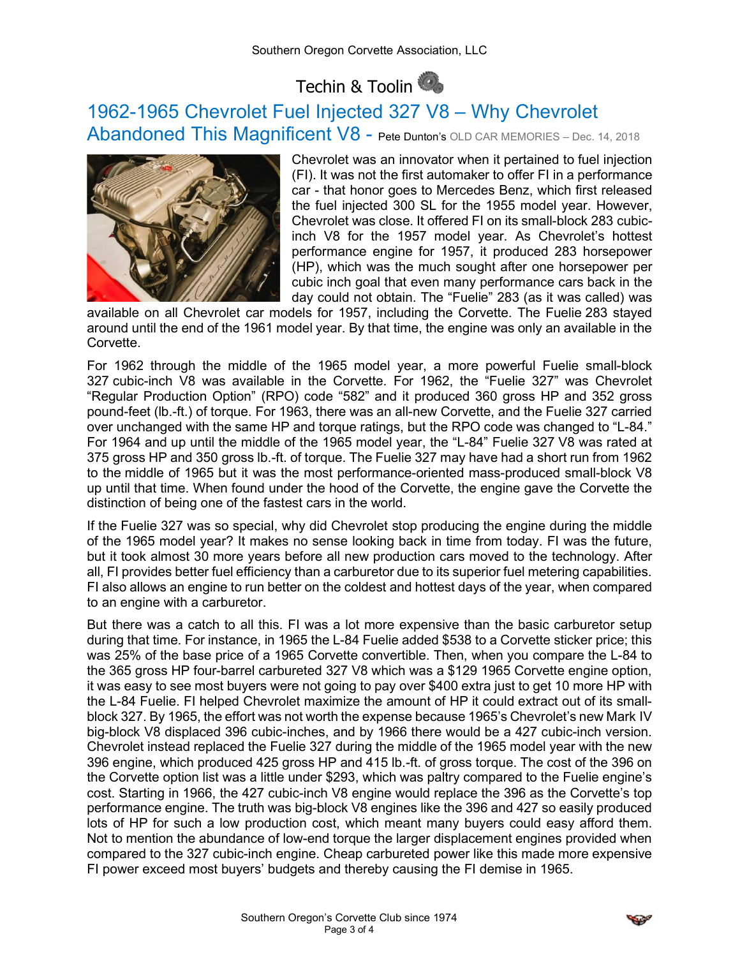# Techin & Toolin

# 1962-1965 Chevrolet Fuel Injected 327 V8 – Why Chevrolet Abandoned This Magnificent V8 - Pete Dunton's OLD CAR MEMORIES - Dec. 14, 2018



Chevrolet was an innovator when it pertained to fuel injection (FI). It was not the first automaker to offer FI in a performance car - that honor goes to Mercedes Benz, which first released the fuel injected 300 SL for the 1955 model year. However, Chevrolet was close. It offered FI on its small-block 283 cubicinch V8 for the 1957 model year. As Chevrolet's hottest performance engine for 1957, it produced 283 horsepower (HP), which was the much sought after one horsepower per cubic inch goal that even many performance cars back in the day could not obtain. The "Fuelie" 283 (as it was called) was

available on all Chevrolet car models for 1957, including the Corvette. The Fuelie 283 stayed around until the end of the 1961 model year. By that time, the engine was only an available in the Corvette.

For 1962 through the middle of the 1965 model year, a more powerful Fuelie small-block 327 cubic-inch V8 was available in the Corvette. For 1962, the "Fuelie 327" was Chevrolet "Regular Production Option" (RPO) code "582" and it produced 360 gross HP and 352 gross pound-feet (lb.-ft.) of torque. For 1963, there was an all-new Corvette, and the Fuelie 327 carried over unchanged with the same HP and torque ratings, but the RPO code was changed to "L-84." For 1964 and up until the middle of the 1965 model year, the "L-84" Fuelie 327 V8 was rated at 375 gross HP and 350 gross lb.-ft. of torque. The Fuelie 327 may have had a short run from 1962 to the middle of 1965 but it was the most performance-oriented mass-produced small-block V8 up until that time. When found under the hood of the Corvette, the engine gave the Corvette the distinction of being one of the fastest cars in the world.

If the Fuelie 327 was so special, why did Chevrolet stop producing the engine during the middle of the 1965 model year? It makes no sense looking back in time from today. FI was the future, but it took almost 30 more years before all new production cars moved to the technology. After all, FI provides better fuel efficiency than a carburetor due to its superior fuel metering capabilities. FI also allows an engine to run better on the coldest and hottest days of the year, when compared to an engine with a carburetor.

But there was a catch to all this. FI was a lot more expensive than the basic carburetor setup during that time. For instance, in 1965 the L-84 Fuelie added \$538 to a Corvette sticker price; this was 25% of the base price of a 1965 Corvette convertible. Then, when you compare the L-84 to the 365 gross HP four-barrel carbureted 327 V8 which was a \$129 1965 Corvette engine option, it was easy to see most buyers were not going to pay over \$400 extra just to get 10 more HP with the L-84 Fuelie. FI helped Chevrolet maximize the amount of HP it could extract out of its smallblock 327. By 1965, the effort was not worth the expense because 1965's Chevrolet's new Mark IV big-block V8 displaced 396 cubic-inches, and by 1966 there would be a 427 cubic-inch version. Chevrolet instead replaced the Fuelie 327 during the middle of the 1965 model year with the new 396 engine, which produced 425 gross HP and 415 lb.-ft. of gross torque. The cost of the 396 on the Corvette option list was a little under \$293, which was paltry compared to the Fuelie engine's cost. Starting in 1966, the 427 cubic-inch V8 engine would replace the 396 as the Corvette's top performance engine. The truth was big-block V8 engines like the 396 and 427 so easily produced lots of HP for such a low production cost, which meant many buyers could easy afford them. Not to mention the abundance of low-end torque the larger displacement engines provided when compared to the 327 cubic-inch engine. Cheap carbureted power like this made more expensive FI power exceed most buyers' budgets and thereby causing the FI demise in 1965.

$$
\textcolor{red}{\blacktriangledown}
$$